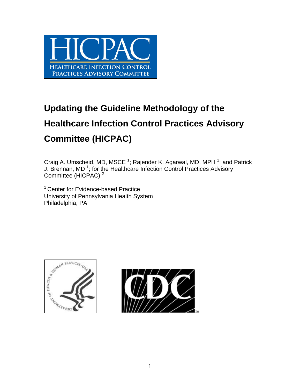

# **Updating the Guideline Methodology of the Healthcare Infection Control Practices Advisory Committee (HICPAC)**

Craig A. Umscheid, MD, MSCE<sup>1</sup>; Rajender K. Agarwal, MD, MPH<sup>1</sup>; and Patrick J. Brennan, MD<sup>1</sup>; for the Healthcare Infection Control Practices Advisory Committee (HICPAC) <sup>2</sup>

<sup>1</sup> Center for Evidence-based Practice University of Pennsylvania Health System Philadelphia, PA



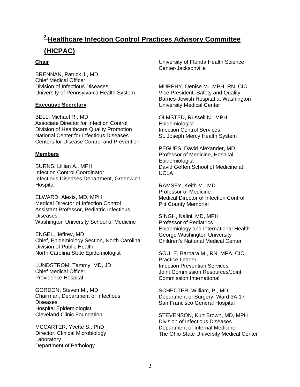# **2 Healthcare Infection Control Practices Advisory Committee (HICPAC)**

#### **Chair**

BRENNAN, Patrick J., MD Chief Medical Officer Division of Infectious Diseases University of Pennsylvania Health System

#### **Executive Secretary**

BELL, Michael R., MD Associate Director for Infection Control Division of Healthcare Quality Promotion National Center for Infectious Diseases Centers for Disease Control and Prevention

#### **Members**

BURNS, Lillian A., MPH Infection Control Coordinator Infectious Diseases Department, Greenwich **Hospital** 

ELWARD, Alexis, MD, MPH Medical Director of Infection Control Assistant Professor, Pediatric Infectious Diseases Washington University School of Medicine

ENGEL, Jeffrey, MD Chief, Epidemiology Section, North Carolina Division of Public Health North Carolina State Epidemiologist

LUNDSTROM, Tammy, MD, JD Chief Medical Officer Providence Hospital

GORDON, Steven M., MD Chairman, Department of Infectious Diseases Hospital Epidemiologist Cleveland Clinic Foundation

MCCARTER, Yvette S., PhD Director, Clinical Microbiology Laboratory Department of Pathology

University of Florida Health Science Center-Jacksonville

MURPHY, Denise M., MPH, RN, CIC Vice President, Safety and Quality Barnes-Jewish Hospital at Washington University Medical Center

OLMSTED, Russell N., MPH Epidemiologist Infection Control Services St. Joseph Mercy Health System

PEGUES, David Alexander, MD Professor of Medicine, Hospital Epidemiologist David Geffen School of Medicine at UCLA

RAMSEY, Keith M., MD Professor of Medicine Medical Director of Infection Control Pitt County Memorial

SINGH, Nalini, MD, MPH Professor of Pediatrics Epidemiology and International Health George Washington University Children's National Medical Center

SOULE, Barbara M., RN, MPA, CIC Practice Leader Infection Prevention Services Joint Commission Resources/Joint Commission International

SCHECTER, William, P., MD Department of Surgery, Ward 3A 17 San Francisco General Hospital

STEVENSON, Kurt Brown, MD, MPH Division of Infectious Diseases Department of Internal Medicine The Ohio State University Medical Center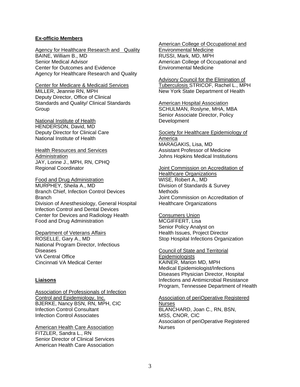#### **Ex-officio Members**

Agency for Healthcare Research and Quality BAINE, William B., MD Senior Medical Advisor Center for Outcomes and Evidence Agency for Healthcare Research and Quality

Center for Medicare & Medicaid Services MILLER, Jeannie RN, MPH Deputy Director, Office of Clinical Standards and Quality/ Clinical Standards **Group** 

National Institute of Health HENDERSON, David, MD Deputy Director for Clinical Care National Institute of Health

Health Resources and Services Administration JAY, Lorine J., MPH, RN, CPHQ Regional Coordinator

Food and Drug Administration MURPHEY, Sheila A., MD Branch Chief, Infection Control Devices Branch Division of Anesthesiology, General Hospital Infection Control and Dental Devices Center for Devices and Radiology Health Food and Drug Administration

Department of Veterans Affairs ROSELLE, Gary A., MD National Program Director, Infectious Diseases VA Central Office Cincinnati VA Medical Center

#### **Liaisons**

**Association of Professionals of Infection** Control and Epidemiology, Inc. BJERKE, Nancy BSN, RN, MPH, CIC Infection Control Consultant Infection Control Associates

American Health Care Association FITZLER, Sandra L., RN Senior Director of Clinical Services American Health Care Association

American College of Occupational and Environmental Medicine RUSSI, Mark, MD, MPH American College of Occupational and Environmental Medicine

Advisory Council for the Elimination of Tuberculosis STRICOF, Rachel L., MPH New York State Department of Health

**American Hospital Association** SCHULMAN, Roslyne, MHA, MBA Senior Associate Director, Policy **Development** 

Society for Healthcare Epidemiology of America MARAGAKIS, Lisa, MD Assistant Professor of Medicine Johns Hopkins Medical Institutions

#### Joint Commission on Accreditation of

Healthcare Organizations WISE, Robert A., MD Division of Standards & Survey Methods Joint Commission on Accreditation of Healthcare Organizations

#### Consumers Union

MCGIFFERT, Lisa Senior Policy Analyst on Health Issues, Project Director Stop Hospital Infections Organization

Council of State and Territorial **Epidemiologists** KAINER, Marion MD, MPH Medical Epidemiologist/Infections Diseases Physician Director, Hospital Infections and Antimicrobial Resistance Program, Tennessee Department of Health

Association of periOperative Registered Nurses BLANCHARD, Joan C., RN, BSN, MSS, CNOR, CIC Association of periOperative Registered Nurses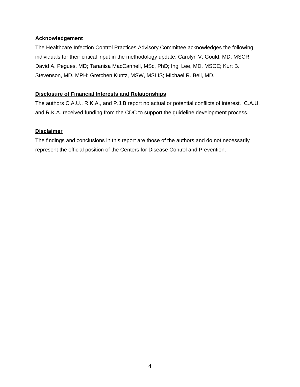#### **Acknowledgement**

The Healthcare Infection Control Practices Advisory Committee acknowledges the following individuals for their critical input in the methodology update: Carolyn V. Gould, MD, MSCR; David A. Pegues, MD; Taranisa MacCannell, MSc, PhD; Ingi Lee, MD, MSCE; Kurt B. Stevenson, MD, MPH; Gretchen Kuntz, MSW, MSLIS; Michael R. Bell, MD.

#### **Disclosure of Financial Interests and Relationships**

The authors C.A.U., R.K.A., and P.J.B report no actual or potential conflicts of interest. C.A.U. and R.K.A. received funding from the CDC to support the guideline development process.

#### **Disclaimer**

The findings and conclusions in this report are those of the authors and do not necessarily represent the official position of the Centers for Disease Control and Prevention.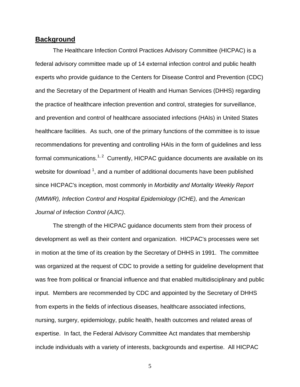#### **Background**

The Healthcare Infection Control Practices Advisory Committee (HICPAC) is a federal advisory committee made up of 14 external infection control and public health experts who provide guidance to the Centers for Disease Control and Prevention (CDC) and the Secretary of the Department of Health and Human Services (DHHS) regarding the practice of healthcare infection prevention and control, strategies for surveillance, and prevention and control of healthcare associated infections (HAIs) in United States healthcare facilities. As such, one of the primary functions of the committee is to issue recommendations for preventing and controlling HAIs in the form of guidelines and less formal communications.<sup>1, 2</sup> Currently, HICPAC quidance documents are available on its website for download  $^1$ , and a number of additional documents have been published since HICPAC's inception, most commonly in *Morbidity and Mortality Weekly Report (MMWR), Infection Control and Hospital Epidemiology (ICHE),* and the *American Journal of Infection Control (AJIC)*.

The strength of the HICPAC guidance documents stem from their process of development as well as their content and organization. HICPAC's processes were set in motion at the time of its creation by the Secretary of DHHS in 1991. The committee was organized at the request of CDC to provide a setting for guideline development that was free from political or financial influence and that enabled multidisciplinary and public input. Members are recommended by CDC and appointed by the Secretary of DHHS from experts in the fields of infectious diseases, healthcare associated infections, nursing, surgery, epidemiology, public health, health outcomes and related areas of expertise. In fact, the Federal Advisory Committee Act mandates that membership include individuals with a variety of interests, backgrounds and expertise. All HICPAC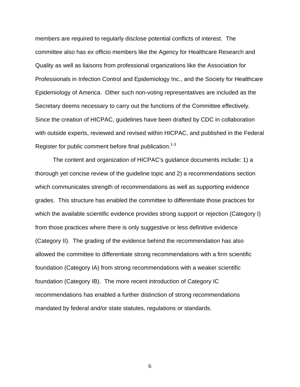members are required to regularly disclose potential conflicts of interest. The committee also has ex officio members like the Agency for Healthcare Research and Quality as well as liaisons from professional organizations like the Association for Professionals in Infection Control and Epidemiology Inc., and the Society for Healthcare Epidemiology of America. Other such non-voting representatives are included as the Secretary deems necessary to carry out the functions of the Committee effectively. Since the creation of HICPAC, guidelines have been drafted by CDC in collaboration with outside experts, reviewed and revised within HICPAC, and published in the Federal Register for public comment before final publication.<sup>1-3</sup>

The content and organization of HICPAC's guidance documents include: 1) a thorough yet concise review of the guideline topic and 2) a recommendations section which communicates strength of recommendations as well as supporting evidence grades. This structure has enabled the committee to differentiate those practices for which the available scientific evidence provides strong support or rejection (Category I) from those practices where there is only suggestive or less definitive evidence (Category II). The grading of the evidence behind the recommendation has also allowed the committee to differentiate strong recommendations with a firm scientific foundation (Category IA) from strong recommendations with a weaker scientific foundation (Category IB). The more recent introduction of Category IC recommendations has enabled a further distinction of strong recommendations mandated by federal and/or state statutes, regulations or standards.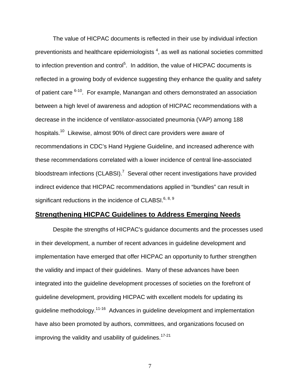The value of HICPAC documents is reflected in their use by individual infection preventionists and healthcare epidemiologists  $4$ , as well as national societies committed to infection prevention and control<sup>5</sup>. In addition, the value of HICPAC documents is reflected in a growing body of evidence suggesting they enhance the quality and safety of patient care  $6-10$ . For example, Manangan and others demonstrated an association between a high level of awareness and adoption of HICPAC recommendations with a decrease in the incidence of ventilator-associated pneumonia (VAP) among 188 hospitals.10 Likewise, almost 90% of direct care providers were aware of recommendations in CDC's Hand Hygiene Guideline, and increased adherence with these recommendations correlated with a lower incidence of central line-associated bloodstream infections (CLABSI).<sup>7</sup> Several other recent investigations have provided indirect evidence that HICPAC recommendations applied in "bundles" can result in significant reductions in the incidence of CLABSI. $6, 8, 9$ 

### **Strengthening HICPAC Guidelines to Address Emerging Needs**

Despite the strengths of HICPAC's guidance documents and the processes used in their development, a number of recent advances in guideline development and implementation have emerged that offer HICPAC an opportunity to further strengthen the validity and impact of their guidelines. Many of these advances have been integrated into the guideline development processes of societies on the forefront of guideline development, providing HICPAC with excellent models for updating its guideline methodology.11-16 Advances in guideline development and implementation have also been promoted by authors, committees, and organizations focused on improving the validity and usability of quidelines.<sup>17-21</sup>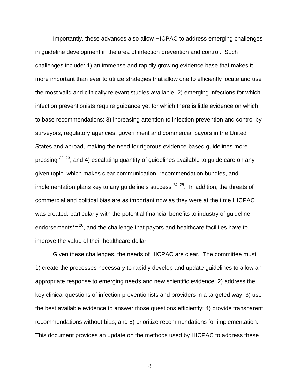Importantly, these advances also allow HICPAC to address emerging challenges in guideline development in the area of infection prevention and control. Such challenges include: 1) an immense and rapidly growing evidence base that makes it more important than ever to utilize strategies that allow one to efficiently locate and use the most valid and clinically relevant studies available; 2) emerging infections for which infection preventionists require guidance yet for which there is little evidence on which to base recommendations; 3) increasing attention to infection prevention and control by surveyors, regulatory agencies, government and commercial payors in the United States and abroad, making the need for rigorous evidence-based guidelines more pressing  $22, 23$ ; and 4) escalating quantity of guidelines available to guide care on any given topic, which makes clear communication, recommendation bundles, and implementation plans key to any guideline's success  $24, 25$ . In addition, the threats of commercial and political bias are as important now as they were at the time HICPAC was created, particularly with the potential financial benefits to industry of guideline endorsements<sup>21, 26</sup>, and the challenge that payors and healthcare facilities have to improve the value of their healthcare dollar.

Given these challenges, the needs of HICPAC are clear. The committee must: 1) create the processes necessary to rapidly develop and update guidelines to allow an appropriate response to emerging needs and new scientific evidence; 2) address the key clinical questions of infection preventionists and providers in a targeted way; 3) use the best available evidence to answer those questions efficiently; 4) provide transparent recommendations without bias; and 5) prioritize recommendations for implementation. This document provides an update on the methods used by HICPAC to address these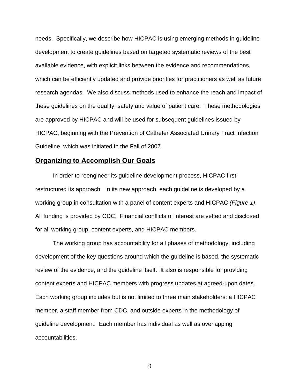needs. Specifically, we describe how HICPAC is using emerging methods in guideline development to create guidelines based on targeted systematic reviews of the best available evidence, with explicit links between the evidence and recommendations, which can be efficiently updated and provide priorities for practitioners as well as future research agendas. We also discuss methods used to enhance the reach and impact of these guidelines on the quality, safety and value of patient care. These methodologies are approved by HICPAC and will be used for subsequent guidelines issued by HICPAC, beginning with the Prevention of Catheter Associated Urinary Tract Infection Guideline, which was initiated in the Fall of 2007.

#### **Organizing to Accomplish Our Goals**

In order to reengineer its guideline development process, HICPAC first restructured its approach. In its new approach, each guideline is developed by a working group in consultation with a panel of content experts and HICPAC *(Figure 1)*. All funding is provided by CDC. Financial conflicts of interest are vetted and disclosed for all working group, content experts, and HICPAC members.

The working group has accountability for all phases of methodology, including development of the key questions around which the guideline is based, the systematic review of the evidence, and the guideline itself. It also is responsible for providing content experts and HICPAC members with progress updates at agreed-upon dates. Each working group includes but is not limited to three main stakeholders: a HICPAC member, a staff member from CDC, and outside experts in the methodology of guideline development. Each member has individual as well as overlapping accountabilities.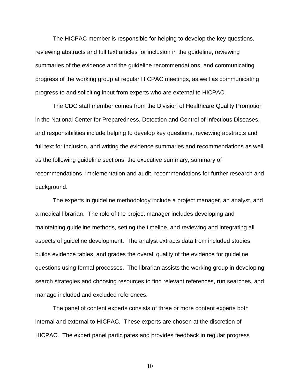The HICPAC member is responsible for helping to develop the key questions, reviewing abstracts and full text articles for inclusion in the guideline, reviewing summaries of the evidence and the guideline recommendations, and communicating progress of the working group at regular HICPAC meetings, as well as communicating progress to and soliciting input from experts who are external to HICPAC.

The CDC staff member comes from the Division of Healthcare Quality Promotion in the National Center for Preparedness, Detection and Control of Infectious Diseases, and responsibilities include helping to develop key questions, reviewing abstracts and full text for inclusion, and writing the evidence summaries and recommendations as well as the following guideline sections: the executive summary, summary of recommendations, implementation and audit, recommendations for further research and background.

The experts in guideline methodology include a project manager, an analyst, and a medical librarian. The role of the project manager includes developing and maintaining guideline methods, setting the timeline, and reviewing and integrating all aspects of guideline development. The analyst extracts data from included studies, builds evidence tables, and grades the overall quality of the evidence for guideline questions using formal processes. The librarian assists the working group in developing search strategies and choosing resources to find relevant references, run searches, and manage included and excluded references.

The panel of content experts consists of three or more content experts both internal and external to HICPAC. These experts are chosen at the discretion of HICPAC. The expert panel participates and provides feedback in regular progress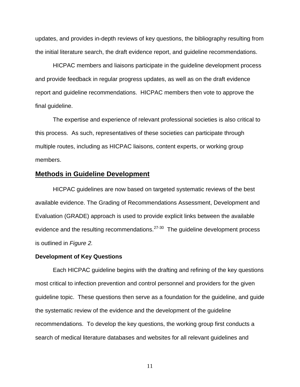updates, and provides in-depth reviews of key questions, the bibliography resulting from the initial literature search, the draft evidence report, and guideline recommendations.

HICPAC members and liaisons participate in the guideline development process and provide feedback in regular progress updates, as well as on the draft evidence report and guideline recommendations. HICPAC members then vote to approve the final guideline.

The expertise and experience of relevant professional societies is also critical to this process. As such, representatives of these societies can participate through multiple routes, including as HICPAC liaisons, content experts, or working group members.

#### **Methods in Guideline Development**

HICPAC guidelines are now based on targeted systematic reviews of the best available evidence. The Grading of Recommendations Assessment, Development and Evaluation (GRADE) approach is used to provide explicit links between the available evidence and the resulting recommendations.<sup>27-30</sup> The guideline development process is outlined in *Figure 2.* 

#### **Development of Key Questions**

Each HICPAC guideline begins with the drafting and refining of the key questions most critical to infection prevention and control personnel and providers for the given guideline topic. These questions then serve as a foundation for the guideline, and guide the systematic review of the evidence and the development of the guideline recommendations. To develop the key questions, the working group first conducts a search of medical literature databases and websites for all relevant guidelines and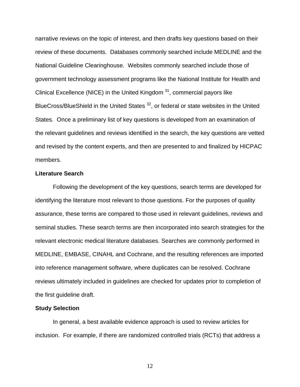narrative reviews on the topic of interest, and then drafts key questions based on their review of these documents. Databases commonly searched include MEDLINE and the National Guideline Clearinghouse. Websites commonly searched include those of government technology assessment programs like the National Institute for Health and Clinical Excellence (NICE) in the United Kingdom  $31$ , commercial payors like BlueCross/BlueShield in the United States<sup>32</sup>, or federal or state websites in the United States. Once a preliminary list of key questions is developed from an examination of the relevant guidelines and reviews identified in the search, the key questions are vetted and revised by the content experts, and then are presented to and finalized by HICPAC members.

#### **Literature Search**

Following the development of the key questions, search terms are developed for identifying the literature most relevant to those questions. For the purposes of quality assurance, these terms are compared to those used in relevant guidelines, reviews and seminal studies. These search terms are then incorporated into search strategies for the relevant electronic medical literature databases. Searches are commonly performed in MEDLINE, EMBASE, CINAHL and Cochrane, and the resulting references are imported into reference management software, where duplicates can be resolved. Cochrane reviews ultimately included in guidelines are checked for updates prior to completion of the first guideline draft.

#### **Study Selection**

 In general, a best available evidence approach is used to review articles for inclusion. For example, if there are randomized controlled trials (RCTs) that address a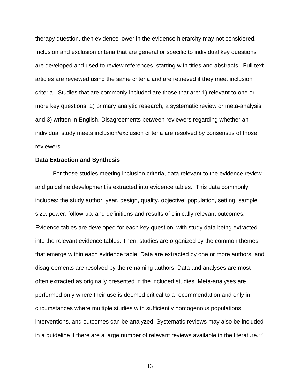therapy question, then evidence lower in the evidence hierarchy may not considered. Inclusion and exclusion criteria that are general or specific to individual key questions are developed and used to review references, starting with titles and abstracts. Full text articles are reviewed using the same criteria and are retrieved if they meet inclusion criteria. Studies that are commonly included are those that are: 1) relevant to one or more key questions, 2) primary analytic research, a systematic review or meta-analysis, and 3) written in English. Disagreements between reviewers regarding whether an individual study meets inclusion/exclusion criteria are resolved by consensus of those reviewers.

#### **Data Extraction and Synthesis**

For those studies meeting inclusion criteria, data relevant to the evidence review and guideline development is extracted into evidence tables. This data commonly includes: the study author, year, design, quality, objective, population, setting, sample size, power, follow-up, and definitions and results of clinically relevant outcomes. Evidence tables are developed for each key question, with study data being extracted into the relevant evidence tables. Then, studies are organized by the common themes that emerge within each evidence table. Data are extracted by one or more authors, and disagreements are resolved by the remaining authors. Data and analyses are most often extracted as originally presented in the included studies. Meta-analyses are performed only where their use is deemed critical to a recommendation and only in circumstances where multiple studies with sufficiently homogenous populations, interventions, and outcomes can be analyzed. Systematic reviews may also be included in a guideline if there are a large number of relevant reviews available in the literature.  $33$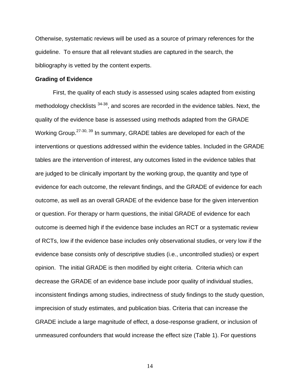Otherwise, systematic reviews will be used as a source of primary references for the guideline. To ensure that all relevant studies are captured in the search, the bibliography is vetted by the content experts.

#### **Grading of Evidence**

First, the quality of each study is assessed using scales adapted from existing methodology checklists  $34-38$ , and scores are recorded in the evidence tables. Next, the quality of the evidence base is assessed using methods adapted from the GRADE Working Group.<sup>27-30, 39</sup> In summary, GRADE tables are developed for each of the interventions or questions addressed within the evidence tables. Included in the GRADE tables are the intervention of interest, any outcomes listed in the evidence tables that are judged to be clinically important by the working group, the quantity and type of evidence for each outcome, the relevant findings, and the GRADE of evidence for each outcome, as well as an overall GRADE of the evidence base for the given intervention or question. For therapy or harm questions, the initial GRADE of evidence for each outcome is deemed high if the evidence base includes an RCT or a systematic review of RCTs, low if the evidence base includes only observational studies, or very low if the evidence base consists only of descriptive studies (i.e., uncontrolled studies) or expert opinion. The initial GRADE is then modified by eight criteria. Criteria which can decrease the GRADE of an evidence base include poor quality of individual studies, inconsistent findings among studies, indirectness of study findings to the study question, imprecision of study estimates, and publication bias. Criteria that can increase the GRADE include a large magnitude of effect, a dose-response gradient, or inclusion of unmeasured confounders that would increase the effect size (Table 1). For questions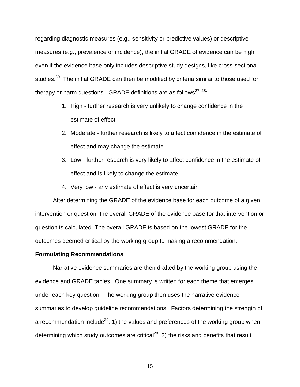regarding diagnostic measures (e.g., sensitivity or predictive values) or descriptive measures (e.g., prevalence or incidence), the initial GRADE of evidence can be high even if the evidence base only includes descriptive study designs, like cross-sectional studies.<sup>30</sup> The initial GRADE can then be modified by criteria similar to those used for therapy or harm questions. GRADE definitions are as follows<sup>27, 28</sup>:

- 1. High further research is very unlikely to change confidence in the estimate of effect
- 2. Moderate further research is likely to affect confidence in the estimate of effect and may change the estimate
- 3. Low further research is very likely to affect confidence in the estimate of effect and is likely to change the estimate
- 4. Very low any estimate of effect is very uncertain

After determining the GRADE of the evidence base for each outcome of a given intervention or question, the overall GRADE of the evidence base for that intervention or question is calculated. The overall GRADE is based on the lowest GRADE for the outcomes deemed critical by the working group to making a recommendation.

#### **Formulating Recommendations**

Narrative evidence summaries are then drafted by the working group using the evidence and GRADE tables. One summary is written for each theme that emerges under each key question. The working group then uses the narrative evidence summaries to develop guideline recommendations. Factors determining the strength of a recommendation include<sup>29</sup>: 1) the values and preferences of the working group when determining which study outcomes are critical<sup>28</sup>, 2) the risks and benefits that result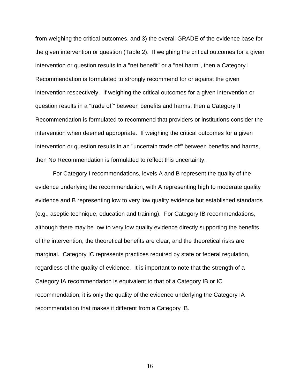from weighing the critical outcomes, and 3) the overall GRADE of the evidence base for the given intervention or question (Table 2). If weighing the critical outcomes for a given intervention or question results in a "net benefit" or a "net harm", then a Category I Recommendation is formulated to strongly recommend for or against the given intervention respectively. If weighing the critical outcomes for a given intervention or question results in a "trade off" between benefits and harms, then a Category II Recommendation is formulated to recommend that providers or institutions consider the intervention when deemed appropriate. If weighing the critical outcomes for a given intervention or question results in an "uncertain trade off" between benefits and harms, then No Recommendation is formulated to reflect this uncertainty.

For Category I recommendations, levels A and B represent the quality of the evidence underlying the recommendation, with A representing high to moderate quality evidence and B representing low to very low quality evidence but established standards (e.g., aseptic technique, education and training). For Category IB recommendations, although there may be low to very low quality evidence directly supporting the benefits of the intervention, the theoretical benefits are clear, and the theoretical risks are marginal. Category IC represents practices required by state or federal regulation, regardless of the quality of evidence. It is important to note that the strength of a Category IA recommendation is equivalent to that of a Category IB or IC recommendation; it is only the quality of the evidence underlying the Category IA recommendation that makes it different from a Category IB.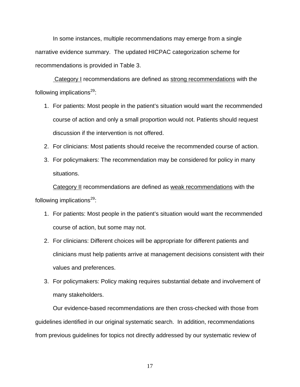In some instances, multiple recommendations may emerge from a single narrative evidence summary. The updated HICPAC categorization scheme for recommendations is provided in Table 3.

 Category I recommendations are defined as strong recommendations with the following implications $^{29}$ :

- 1. For patients: Most people in the patient's situation would want the recommended course of action and only a small proportion would not. Patients should request discussion if the intervention is not offered.
- 2. For clinicians: Most patients should receive the recommended course of action.
- 3. For policymakers: The recommendation may be considered for policy in many situations.

Category II recommendations are defined as weak recommendations with the following implications $^{29}$ :

- 1. For patients: Most people in the patient's situation would want the recommended course of action, but some may not.
- 2. For clinicians: Different choices will be appropriate for different patients and clinicians must help patients arrive at management decisions consistent with their values and preferences.
- 3. For policymakers: Policy making requires substantial debate and involvement of many stakeholders.

Our evidence-based recommendations are then cross-checked with those from guidelines identified in our original systematic search. In addition, recommendations from previous guidelines for topics not directly addressed by our systematic review of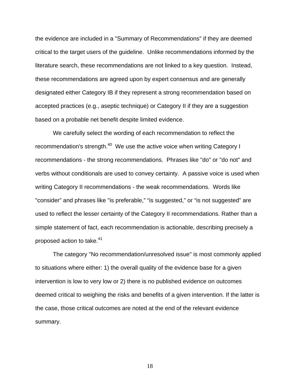the evidence are included in a "Summary of Recommendations" if they are deemed critical to the target users of the guideline. Unlike recommendations informed by the literature search, these recommendations are not linked to a key question. Instead, these recommendations are agreed upon by expert consensus and are generally designated either Category IB if they represent a strong recommendation based on accepted practices (e.g., aseptic technique) or Category II if they are a suggestion based on a probable net benefit despite limited evidence.

We carefully select the wording of each recommendation to reflect the recommendation's strength.<sup>40</sup> We use the active voice when writing Category I recommendations - the strong recommendations. Phrases like "do" or "do not" and verbs without conditionals are used to convey certainty. A passive voice is used when writing Category II recommendations - the weak recommendations. Words like "consider" and phrases like "is preferable," "is suggested," or "is not suggested" are used to reflect the lesser certainty of the Category II recommendations. Rather than a simple statement of fact, each recommendation is actionable, describing precisely a proposed action to take.<sup>41</sup>

The category "No recommendation/unresolved issue" is most commonly applied to situations where either: 1) the overall quality of the evidence base for a given intervention is low to very low or 2) there is no published evidence on outcomes deemed critical to weighing the risks and benefits of a given intervention. If the latter is the case, those critical outcomes are noted at the end of the relevant evidence summary.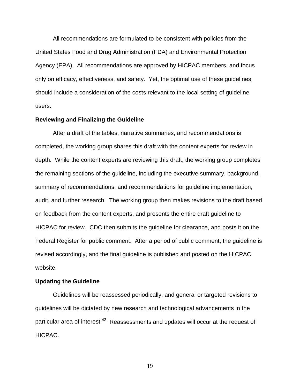All recommendations are formulated to be consistent with policies from the United States Food and Drug Administration (FDA) and Environmental Protection Agency (EPA). All recommendations are approved by HICPAC members, and focus only on efficacy, effectiveness, and safety. Yet, the optimal use of these guidelines should include a consideration of the costs relevant to the local setting of guideline users.

#### **Reviewing and Finalizing the Guideline**

After a draft of the tables, narrative summaries, and recommendations is completed, the working group shares this draft with the content experts for review in depth. While the content experts are reviewing this draft, the working group completes the remaining sections of the guideline, including the executive summary, background, summary of recommendations, and recommendations for guideline implementation, audit, and further research. The working group then makes revisions to the draft based on feedback from the content experts, and presents the entire draft guideline to HICPAC for review. CDC then submits the guideline for clearance, and posts it on the Federal Register for public comment. After a period of public comment, the guideline is revised accordingly, and the final guideline is published and posted on the HICPAC website.

#### **Updating the Guideline**

Guidelines will be reassessed periodically, and general or targeted revisions to guidelines will be dictated by new research and technological advancements in the particular area of interest.<sup>42</sup> Reassessments and updates will occur at the request of HICPAC.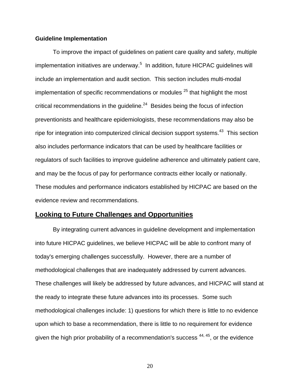#### **Guideline Implementation**

 To improve the impact of guidelines on patient care quality and safety, multiple implementation initiatives are underway.<sup>5</sup> In addition, future HICPAC guidelines will include an implementation and audit section. This section includes multi-modal implementation of specific recommendations or modules  $25$  that highlight the most critical recommendations in the quideline. $24$  Besides being the focus of infection preventionists and healthcare epidemiologists, these recommendations may also be ripe for integration into computerized clinical decision support systems.<sup>43</sup> This section also includes performance indicators that can be used by healthcare facilities or regulators of such facilities to improve guideline adherence and ultimately patient care, and may be the focus of pay for performance contracts either locally or nationally. These modules and performance indicators established by HICPAC are based on the evidence review and recommendations.

#### **Looking to Future Challenges and Opportunities**

By integrating current advances in guideline development and implementation into future HICPAC guidelines, we believe HICPAC will be able to confront many of today's emerging challenges successfully. However, there are a number of methodological challenges that are inadequately addressed by current advances. These challenges will likely be addressed by future advances, and HICPAC will stand at the ready to integrate these future advances into its processes. Some such methodological challenges include: 1) questions for which there is little to no evidence upon which to base a recommendation, there is little to no requirement for evidence given the high prior probability of a recommendation's success  $44, 45$ , or the evidence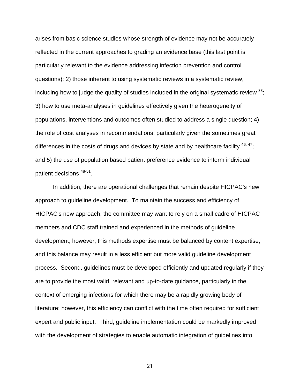arises from basic science studies whose strength of evidence may not be accurately reflected in the current approaches to grading an evidence base (this last point is particularly relevant to the evidence addressing infection prevention and control questions); 2) those inherent to using systematic reviews in a systematic review, including how to judge the quality of studies included in the original systematic review  $^{33}$ . 3) how to use meta-analyses in guidelines effectively given the heterogeneity of populations, interventions and outcomes often studied to address a single question; 4) the role of cost analyses in recommendations, particularly given the sometimes great differences in the costs of drugs and devices by state and by healthcare facility  $46, 47$ ; and 5) the use of population based patient preference evidence to inform individual patient decisions 48-51.

In addition, there are operational challenges that remain despite HICPAC's new approach to guideline development. To maintain the success and efficiency of HICPAC's new approach, the committee may want to rely on a small cadre of HICPAC members and CDC staff trained and experienced in the methods of guideline development; however, this methods expertise must be balanced by content expertise, and this balance may result in a less efficient but more valid guideline development process. Second, guidelines must be developed efficiently and updated regularly if they are to provide the most valid, relevant and up-to-date guidance, particularly in the context of emerging infections for which there may be a rapidly growing body of literature; however, this efficiency can conflict with the time often required for sufficient expert and public input. Third, guideline implementation could be markedly improved with the development of strategies to enable automatic integration of guidelines into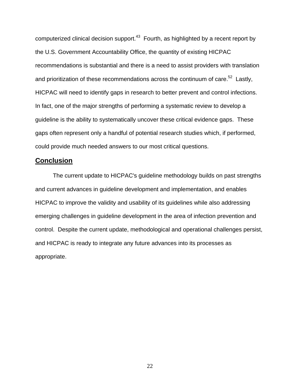computerized clinical decision support.<sup>43</sup> Fourth, as highlighted by a recent report by the U.S. Government Accountability Office, the quantity of existing HICPAC recommendations is substantial and there is a need to assist providers with translation and prioritization of these recommendations across the continuum of care.<sup>52</sup> Lastly, HICPAC will need to identify gaps in research to better prevent and control infections. In fact, one of the major strengths of performing a systematic review to develop a guideline is the ability to systematically uncover these critical evidence gaps. These gaps often represent only a handful of potential research studies which, if performed, could provide much needed answers to our most critical questions.

### **Conclusion**

The current update to HICPAC's guideline methodology builds on past strengths and current advances in guideline development and implementation, and enables HICPAC to improve the validity and usability of its guidelines while also addressing emerging challenges in guideline development in the area of infection prevention and control. Despite the current update, methodological and operational challenges persist, and HICPAC is ready to integrate any future advances into its processes as appropriate.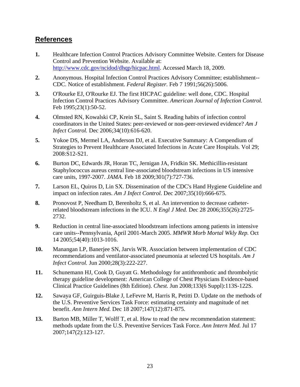## **References**

- **1.** Healthcare Infection Control Practices Advisory Committee Website. Centers for Disease Control and Prevention Website. Available at: <http://www.cdc.gov/ncidod/dhqp/hicpac.html>. Accessed March 18, 2009.
- **2.** Anonymous. Hospital Infection Control Practices Advisory Committee; establishment-- CDC. Notice of establishment. *Federal Register.* Feb 7 1991;56(26):5006.
- **3.** O'Rourke EJ, O'Rourke EJ. The first HICPAC guideline: well done, CDC. Hospital Infection Control Practices Advisory Committee. *American Journal of Infection Control.*  Feb 1995;23(1):50-52.
- **4.** Olmsted RN, Kowalski CP, Krein SL, Saint S. Reading habits of infection control coordinators in the United States: peer-reviewed or non-peer-reviewed evidence? *Am J Infect Control.* Dec 2006;34(10):616-620.
- **5.** Yokoe DS, Mermel LA, Anderson DJ, et al. Executive Summary: A Compendium of Strategies to Prevent Healthcare Associated Infections in Acute Care Hospitals*.* Vol 29; 2008:S12-S21.
- **6.** Burton DC, Edwards JR, Horan TC, Jernigan JA, Fridkin SK. Methicillin-resistant Staphylococcus aureus central line-associated bloodstream infections in US intensive care units, 1997-2007. *JAMA.* Feb 18 2009;301(7):727-736.
- **7.** Larson EL, Quiros D, Lin SX. Dissemination of the CDC's Hand Hygiene Guideline and impact on infection rates. *Am J Infect Control.* Dec 2007;35(10):666-675.
- **8.** Pronovost P, Needham D, Berenholtz S, et al. An intervention to decrease catheterrelated bloodstream infections in the ICU. *N Engl J Med.* Dec 28 2006;355(26):2725- 2732.
- **9.** Reduction in central line-associated bloodstream infections among patients in intensive care units--Pennsylvania, April 2001-March 2005. *MMWR Morb Mortal Wkly Rep.* Oct 14 2005;54(40):1013-1016.
- **10.** Manangan LP, Banerjee SN, Jarvis WR. Association between implementation of CDC recommendations and ventilator-associated pneumonia at selected US hospitals. *Am J Infect Control.* Jun 2000;28(3):222-227.
- **11.** Schunemann HJ, Cook D, Guyatt G. Methodology for antithrombotic and thrombolytic therapy guideline development: American College of Chest Physicians Evidence-based Clinical Practice Guidelines (8th Edition). *Chest.* Jun 2008;133(6 Suppl):113S-122S.
- **12.** Sawaya GF, Guirguis-Blake J, LeFevre M, Harris R, Petitti D. Update on the methods of the U.S. Preventive Services Task Force: estimating certainty and magnitude of net benefit. *Ann Intern Med.* Dec 18 2007;147(12):871-875.
- **13.** Barton MB, Miller T, Wolff T, et al. How to read the new recommendation statement: methods update from the U.S. Preventive Services Task Force. *Ann Intern Med.* Jul 17 2007;147(2):123-127.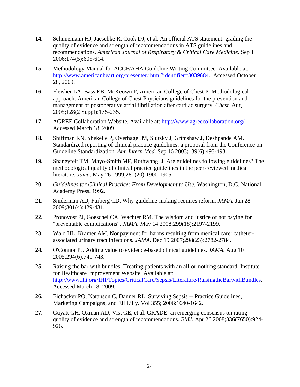- **14.** Schunemann HJ, Jaeschke R, Cook DJ, et al. An official ATS statement: grading the quality of evidence and strength of recommendations in ATS guidelines and recommendations. *American Journal of Respiratory & Critical Care Medicine.* Sep 1 2006;174(5):605-614.
- **15.** Methodology Manual for ACCF/AHA Guideline Writing Committee. Available at: <http://www.americanheart.org/presenter.jhtml?identifier=3039684>. Accessed October 28, 2009.
- **16.** Fleisher LA, Bass EB, McKeown P, American College of Chest P. Methodological approach: American College of Chest Physicians guidelines for the prevention and management of postoperative atrial fibrillation after cardiac surgery. *Chest.* Aug 2005;128(2 Suppl):17S-23S.
- **17.** AGREE Collaboration Website. Available at:<http://www.agreecollaboration.org/>. Accessed March 18, 2009
- **18.** Shiffman RN, Shekelle P, Overhage JM, Slutsky J, Grimshaw J, Deshpande AM. Standardized reporting of clinical practice guidelines: a proposal from the Conference on Guideline Standardization. *Ann Intern Med.* Sep 16 2003;139(6):493-498.
- **19.** Shaneyfelt TM, Mayo-Smith MF, Rothwangl J. Are guidelines following guidelines? The methodological quality of clinical practice guidelines in the peer-reviewed medical literature. *Jama.* May 26 1999;281(20):1900-1905.
- **20.** *Guidelines for Clinical Practice: From Development to Use.* Washington, D.C. National Academy Press. 1992.
- **21.** Sniderman AD, Furberg CD. Why guideline-making requires reform. *JAMA.* Jan 28 2009;301(4):429-431.
- **22.** Pronovost PJ, Goeschel CA, Wachter RM. The wisdom and justice of not paying for "preventable complications". *JAMA.* May 14 2008;299(18):2197-2199.
- **23.** Wald HL, Kramer AM. Nonpayment for harms resulting from medical care: catheterassociated urinary tract infections. *JAMA.* Dec 19 2007;298(23):2782-2784.
- **24.** O'Connor PJ. Adding value to evidence-based clinical guidelines. *JAMA.* Aug 10 2005;294(6):741-743.
- **25.** Raising the bar with bundles: Treating patients with an all-or-nothing standard. Institute for Healthcare Improvement Website. Available at: [http://www.ihi.org/IHI/Topics/CriticalCare/Sepsis/Literature/RaisingtheBarwithBundles.](http://www.ihi.org/IHI/Topics/CriticalCare/Sepsis/Literature/RaisingtheBarwithBundles) Accessed March 18, 2009.
- **26.** Eichacker PQ, Natanson C, Danner RL. Surviving Sepsis -- Practice Guidelines, Marketing Campaigns, and Eli Lilly*.* Vol 355; 2006:1640-1642.
- **27.** Guyatt GH, Oxman AD, Vist GE, et al. GRADE: an emerging consensus on rating quality of evidence and strength of recommendations. *BMJ.* Apr 26 2008;336(7650):924- 926.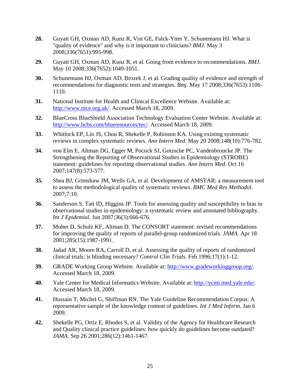- **28.** Guyatt GH, Oxman AD, Kunz R, Vist GE, Falck-Ytter Y, Schunemann HJ. What is "quality of evidence" and why is it important to clinicians? *BMJ.* May 3 2008;336(7651):995-998.
- **29.** Guyatt GH, Oxman AD, Kunz R, et al. Going from evidence to recommendations. *BMJ.*  May 10 2008;336(7652):1049-1051.
- **30.** Schunemann HJ, Oxman AD, Brozek J, et al. Grading quality of evidence and strength of recommendations for diagnostic tests and strategies. *Bmj.* May 17 2008;336(7653):1106- 1110.
- **31.** National Institute for Health and Clinical Excellence Website. Available at: [http://www.nice.org.uk/.](http://www.nice.org.uk/) Accessed March 18, 2009.
- **32.** BlueCross BlueShield Association Technology Evaluation Center Website. Available at: <http://www.bcbs.com/blueresources/tec/>. Accessed March 18, 2009.
- **33.** Whitlock EP, Lin JS, Chou R, Shekelle P, Robinson KA. Using existing systematic reviews in complex systematic reviews. *Ann Intern Med.* May 20 2008;148(10):776-782.
- **34.** von Elm E, Altman DG, Egger M, Pocock SJ, Gotzsche PC, Vandenbroucke JP. The Strengthening the Reporting of Observational Studies in Epidemiology (STROBE) statement: guidelines for reporting observational studies. *Ann Intern Med.* Oct 16 2007;147(8):573-577.
- **35.** Shea BJ, Grimshaw JM, Wells GA, et al. Development of AMSTAR: a measurement tool to assess the methodological quality of systematic reviews. *BMC Med Res Methodol.*  2007;7:10.
- **36.** Sanderson S, Tatt ID, Higgins JP. Tools for assessing quality and susceptibility to bias in observational studies in epidemiology: a systematic review and annotated bibliography. *Int J Epidemiol.* Jun 2007;36(3):666-676.
- **37.** Moher D, Schulz KF, Altman D. The CONSORT statement: revised recommendations for improving the quality of reports of parallel-group randomized trials. *JAMA.* Apr 18 2001;285(15):1987-1991.
- **38.** Jadad AR, Moore RA, Carroll D, et al. Assessing the quality of reports of randomized clinical trials: is blinding necessary? *Control Clin Trials.* Feb 1996;17(1):1-12.
- **39.** GRADE Working Group Website. Available at: <http://www.gradeworkinggroup.org/>. Accessed March 18, 2009.
- **40.** Yale Center for Medical Informatics Website. Available at:<http://ycmi.med.yale.edu/>. Accessed March 18, 2009.
- **41.** Hussain T, Michel G, Shiffman RN. The Yale Guideline Recommendation Corpus: A representative sample of the knowledge content of guidelines. *Int J Med Inform.* Jan 6 2009.
- **42.** Shekelle PG, Ortiz E, Rhodes S, et al. Validity of the Agency for Healthcare Research and Quality clinical practice guidelines: how quickly do guidelines become outdated? *JAMA.* Sep 26 2001;286(12):1461-1467.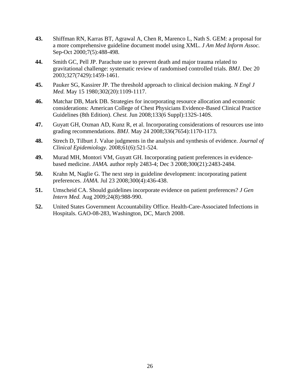- **43.** Shiffman RN, Karras BT, Agrawal A, Chen R, Marenco L, Nath S. GEM: a proposal for a more comprehensive guideline document model using XML. *J Am Med Inform Assoc.*  Sep-Oct 2000;7(5):488-498.
- **44.** Smith GC, Pell JP. Parachute use to prevent death and major trauma related to gravitational challenge: systematic review of randomised controlled trials. *BMJ.* Dec 20 2003;327(7429):1459-1461.
- **45.** Pauker SG, Kassirer JP. The threshold approach to clinical decision making. *N Engl J Med.* May 15 1980;302(20):1109-1117.
- **46.** Matchar DB, Mark DB. Strategies for incorporating resource allocation and economic considerations: American College of Chest Physicians Evidence-Based Clinical Practice Guidelines (8th Edition). *Chest.* Jun 2008;133(6 Suppl):132S-140S.
- **47.** Guyatt GH, Oxman AD, Kunz R, et al. Incorporating considerations of resources use into grading recommendations. *BMJ.* May 24 2008;336(7654):1170-1173.
- **48.** Strech D, Tilburt J. Value judgments in the analysis and synthesis of evidence. *Journal of Clinical Epidemiology.* 2008;61(6):521-524.
- **49.** Murad MH, Montori VM, Guyatt GH. Incorporating patient preferences in evidencebased medicine. *JAMA.* author reply 2483-4; Dec 3 2008;300(21):2483-2484.
- **50.** Krahn M, Naglie G. The next step in guideline development: incorporating patient preferences. *JAMA.* Jul 23 2008;300(4):436-438.
- **51.** Umscheid CA. Should guidelines incorporate evidence on patient preferences? *J Gen Intern Med.* Aug 2009;24(8):988-990.
- **52.** United States Government Accountability Office. Health-Care-Associated Infections in Hospitals. GAO-08-283, Washington, DC, March 2008.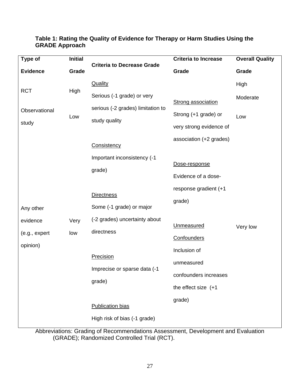### **Table 1: Rating the Quality of Evidence for Therapy or Harm Studies Using the GRADE Approach**

| Type of                                            | <b>Initial</b> |                                                                                       | <b>Criteria to Increase</b>                                                                             | <b>Overall Quality</b> |
|----------------------------------------------------|----------------|---------------------------------------------------------------------------------------|---------------------------------------------------------------------------------------------------------|------------------------|
| <b>Evidence</b>                                    | Grade          | <b>Criteria to Decrease Grade</b>                                                     | Grade                                                                                                   | Grade                  |
| <b>RCT</b>                                         | High           | <b>Quality</b><br>Serious (-1 grade) or very                                          |                                                                                                         | High<br>Moderate       |
| Observational<br>study                             | Low            | serious (-2 grades) limitation to<br>study quality<br>Consistency                     | <b>Strong association</b><br>Strong (+1 grade) or<br>very strong evidence of<br>association (+2 grades) | Low                    |
| Any other<br>evidence<br>(e.g., expert<br>opinion) | Very<br>low    | Important inconsistency (-1<br>grade)<br><b>Directness</b>                            | Dose-response<br>Evidence of a dose-<br>response gradient (+1<br>grade)<br>Unmeasured<br>Confounders    | Very low               |
|                                                    |                | Some (-1 grade) or major<br>(-2 grades) uncertainty about<br>directness               |                                                                                                         |                        |
|                                                    |                | <b>Precision</b><br>Imprecise or sparse data (-1<br>grade)<br><b>Publication bias</b> | Inclusion of<br>unmeasured<br>confounders increases<br>the effect size $(+1)$<br>grade)                 |                        |
|                                                    |                | High risk of bias (-1 grade)                                                          |                                                                                                         |                        |

Abbreviations: Grading of Recommendations Assessment, Development and Evaluation (GRADE); Randomized Controlled Trial (RCT).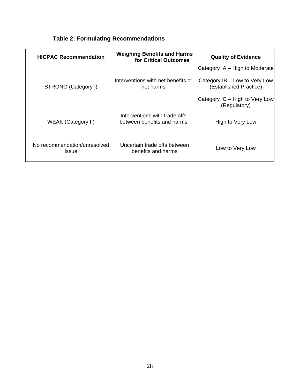| <b>HICPAC Recommendation</b>          | <b>Weighing Benefits and Harms</b><br>for Critical Outcomes | <b>Quality of Evidence</b>                              |  |
|---------------------------------------|-------------------------------------------------------------|---------------------------------------------------------|--|
|                                       |                                                             | Category IA – High to Moderate                          |  |
| STRONG (Category I)                   | Interventions with net benefits or<br>net harms             | Category IB - Low to Very Low<br>(Established Practice) |  |
|                                       |                                                             | Category IC – High to Very Low<br>(Regulatory)          |  |
| <b>WEAK (Category II)</b>             | Interventions with trade offs<br>between benefits and harms | High to Very Low                                        |  |
| No recommendation/unresolved<br>Issue | Uncertain trade offs between<br>benefits and harms          | Low to Very Low                                         |  |

# **Table 2: Formulating Recommendations**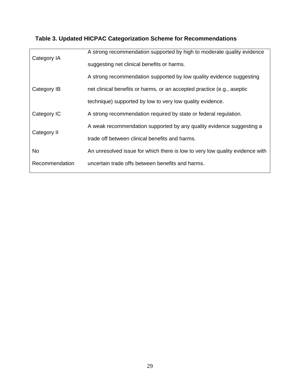# **Table 3. Updated HICPAC Categorization Scheme for Recommendations**

| Category IA    | A strong recommendation supported by high to moderate quality evidence       |  |  |
|----------------|------------------------------------------------------------------------------|--|--|
|                | suggesting net clinical benefits or harms.                                   |  |  |
| Category IB    | A strong recommendation supported by low quality evidence suggesting         |  |  |
|                | net clinical benefits or harms, or an accepted practice (e.g., aseptic       |  |  |
|                | technique) supported by low to very low quality evidence.                    |  |  |
| Category IC    | A strong recommendation required by state or federal regulation.             |  |  |
|                | A weak recommendation supported by any quality evidence suggesting a         |  |  |
| Category II    | trade off between clinical benefits and harms.                               |  |  |
| No             | An unresolved issue for which there is low to very low quality evidence with |  |  |
| Recommendation | uncertain trade offs between benefits and harms.                             |  |  |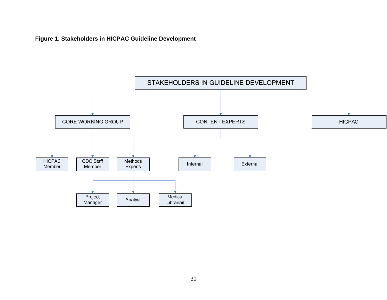**Figure 1. Stakeholders in HICPAC Guideline Development**